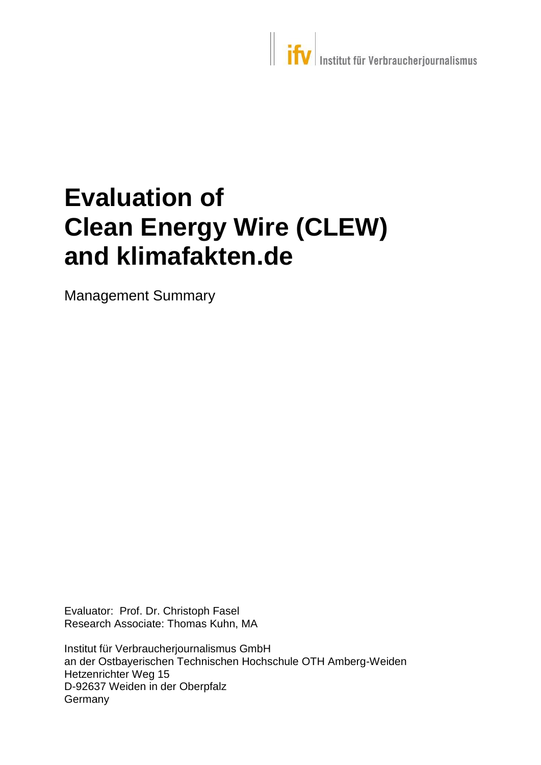# **Evaluation of Clean Energy Wire (CLEW) and klimafakten.de**

Management Summary

Evaluator: Prof. Dr. Christoph Fasel Research Associate: Thomas Kuhn, MA

Institut für Verbraucherjournalismus GmbH an der Ostbayerischen Technischen Hochschule OTH Amberg-Weiden Hetzenrichter Weg 15 D-92637 Weiden in der Oberpfalz **Germany**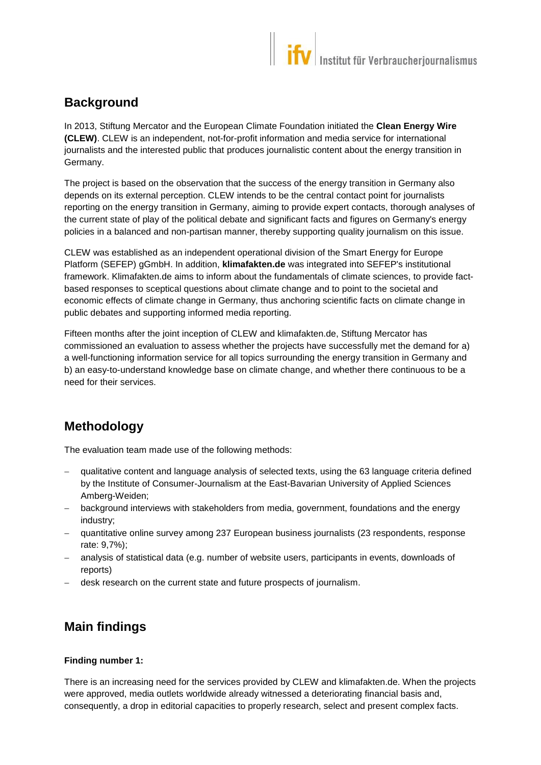### **Background**

In 2013, Stiftung Mercator and the European Climate Foundation initiated the **Clean Energy Wire (CLEW)**. CLEW is an independent, not-for-profit information and media service for international journalists and the interested public that produces journalistic content about the energy transition in Germany.

The project is based on the observation that the success of the energy transition in Germany also depends on its external perception. CLEW intends to be the central contact point for journalists reporting on the energy transition in Germany, aiming to provide expert contacts, thorough analyses of the current state of play of the political debate and significant facts and figures on Germany's energy policies in a balanced and non-partisan manner, thereby supporting quality journalism on this issue.

CLEW was established as an independent operational division of the Smart Energy for Europe Platform (SEFEP) gGmbH. In addition, **klimafakten.de** was integrated into SEFEP's institutional framework. Klimafakten.de aims to inform about the fundamentals of climate sciences, to provide factbased responses to sceptical questions about climate change and to point to the societal and economic effects of climate change in Germany, thus anchoring scientific facts on climate change in public debates and supporting informed media reporting.

Fifteen months after the joint inception of CLEW and klimafakten.de, Stiftung Mercator has commissioned an evaluation to assess whether the projects have successfully met the demand for a) a well-functioning information service for all topics surrounding the energy transition in Germany and b) an easy-to-understand knowledge base on climate change, and whether there continuous to be a need for their services.

## **Methodology**

The evaluation team made use of the following methods:

- qualitative content and language analysis of selected texts, using the 63 language criteria defined by the Institute of Consumer-Journalism at the East-Bavarian University of Applied Sciences Amberg-Weiden;
- background interviews with stakeholders from media, government, foundations and the energy industry;
- quantitative online survey among 237 European business journalists (23 respondents, response rate: 9,7%);
- analysis of statistical data (e.g. number of website users, participants in events, downloads of reports)
- desk research on the current state and future prospects of journalism.

## **Main findings**

#### **Finding number 1:**

There is an increasing need for the services provided by CLEW and klimafakten.de. When the projects were approved, media outlets worldwide already witnessed a deteriorating financial basis and, consequently, a drop in editorial capacities to properly research, select and present complex facts.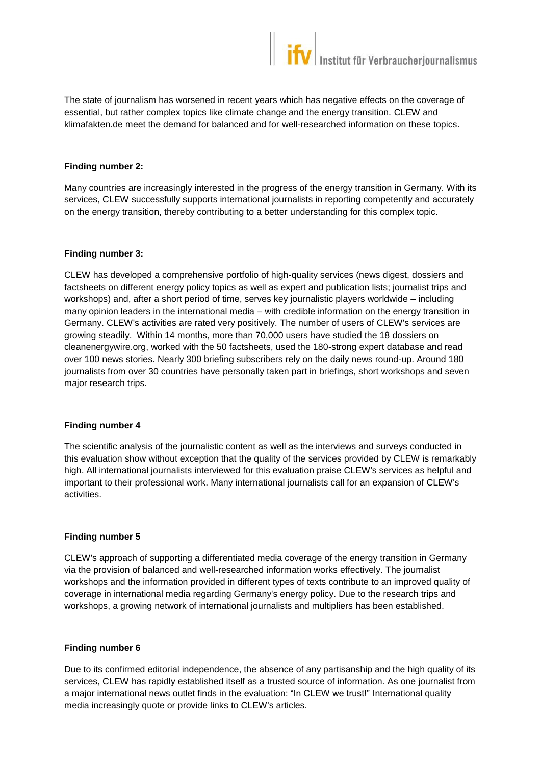The state of journalism has worsened in recent years which has negative effects on the coverage of essential, but rather complex topics like climate change and the energy transition. CLEW and klimafakten.de meet the demand for balanced and for well-researched information on these topics.

#### **Finding number 2:**

Many countries are increasingly interested in the progress of the energy transition in Germany. With its services, CLEW successfully supports international journalists in reporting competently and accurately on the energy transition, thereby contributing to a better understanding for this complex topic.

#### **Finding number 3:**

CLEW has developed a comprehensive portfolio of high-quality services (news digest, dossiers and factsheets on different energy policy topics as well as expert and publication lists; journalist trips and workshops) and, after a short period of time, serves key journalistic players worldwide – including many opinion leaders in the international media – with credible information on the energy transition in Germany. CLEW's activities are rated very positively. The number of users of CLEW's services are growing steadily. Within 14 months, more than 70,000 users have studied the 18 dossiers on cleanenergywire.org, worked with the 50 factsheets, used the 180-strong expert database and read over 100 news stories. Nearly 300 briefing subscribers rely on the daily news round-up. Around 180 journalists from over 30 countries have personally taken part in briefings, short workshops and seven major research trips.

#### **Finding number 4**

The scientific analysis of the journalistic content as well as the interviews and surveys conducted in this evaluation show without exception that the quality of the services provided by CLEW is remarkably high. All international journalists interviewed for this evaluation praise CLEW's services as helpful and important to their professional work. Many international journalists call for an expansion of CLEW's activities.

#### **Finding number 5**

CLEW's approach of supporting a differentiated media coverage of the energy transition in Germany via the provision of balanced and well-researched information works effectively. The journalist workshops and the information provided in different types of texts contribute to an improved quality of coverage in international media regarding Germany's energy policy. Due to the research trips and workshops, a growing network of international journalists and multipliers has been established.

#### **Finding number 6**

Due to its confirmed editorial independence, the absence of any partisanship and the high quality of its services, CLEW has rapidly established itself as a trusted source of information. As one journalist from a major international news outlet finds in the evaluation: "In CLEW we trust!" International quality media increasingly quote or provide links to CLEW's articles.